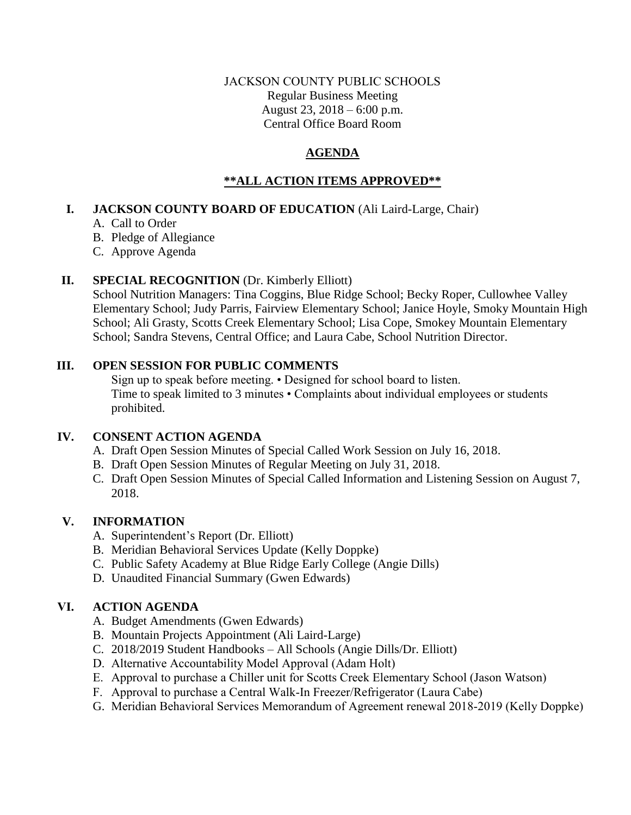### JACKSON COUNTY PUBLIC SCHOOLS Regular Business Meeting August 23, 2018 – 6:00 p.m. Central Office Board Room

# **AGENDA**

# **\*\*ALL ACTION ITEMS APPROVED\*\***

## **I. JACKSON COUNTY BOARD OF EDUCATION** (Ali Laird-Large, Chair)

- A. Call to Order
- B. Pledge of Allegiance
- C. Approve Agenda

## **II. SPECIAL RECOGNITION** (Dr. Kimberly Elliott)

School Nutrition Managers: Tina Coggins, Blue Ridge School; Becky Roper, Cullowhee Valley Elementary School; Judy Parris, Fairview Elementary School; Janice Hoyle, Smoky Mountain High School; Ali Grasty, Scotts Creek Elementary School; Lisa Cope, Smokey Mountain Elementary School; Sandra Stevens, Central Office; and Laura Cabe, School Nutrition Director.

## **III. OPEN SESSION FOR PUBLIC COMMENTS**

Sign up to speak before meeting. • Designed for school board to listen. Time to speak limited to 3 minutes • Complaints about individual employees or students prohibited.

## **IV. CONSENT ACTION AGENDA**

- A. Draft Open Session Minutes of Special Called Work Session on July 16, 2018.
- B. Draft Open Session Minutes of Regular Meeting on July 31, 2018.
- C. Draft Open Session Minutes of Special Called Information and Listening Session on August 7, 2018.

## **V. INFORMATION**

- A. Superintendent's Report (Dr. Elliott)
- B. Meridian Behavioral Services Update (Kelly Doppke)
- C. Public Safety Academy at Blue Ridge Early College (Angie Dills)
- D. Unaudited Financial Summary (Gwen Edwards)

# **VI. ACTION AGENDA**

- A. Budget Amendments (Gwen Edwards)
- B. Mountain Projects Appointment (Ali Laird-Large)
- C. 2018/2019 Student Handbooks All Schools (Angie Dills/Dr. Elliott)
- D. Alternative Accountability Model Approval (Adam Holt)
- E. Approval to purchase a Chiller unit for Scotts Creek Elementary School (Jason Watson)
- F. Approval to purchase a Central Walk-In Freezer/Refrigerator (Laura Cabe)
- G. Meridian Behavioral Services Memorandum of Agreement renewal 2018-2019 (Kelly Doppke)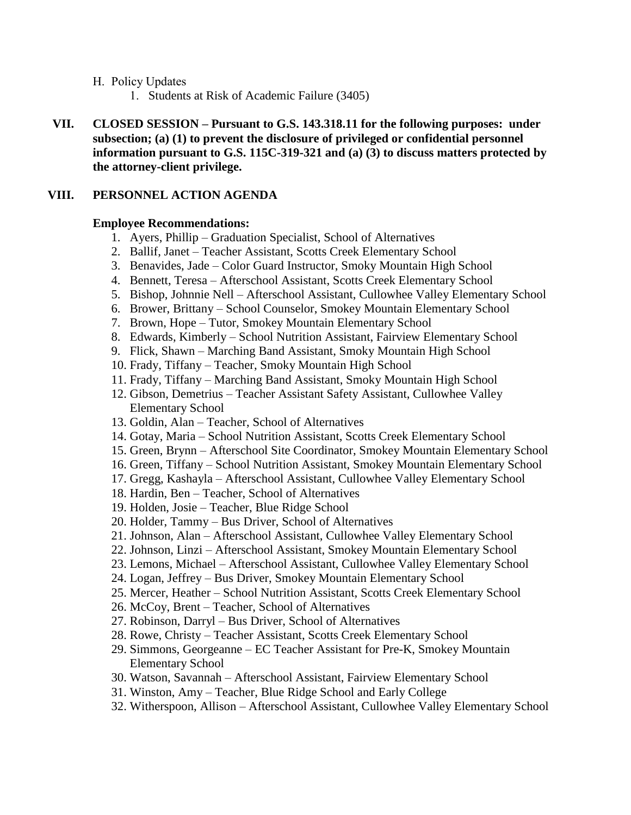- H. Policy Updates
	- 1. Students at Risk of Academic Failure (3405)
- **VII. CLOSED SESSION – Pursuant to G.S. 143.318.11 for the following purposes: under subsection; (a) (1) to prevent the disclosure of privileged or confidential personnel information pursuant to G.S. 115C-319-321 and (a) (3) to discuss matters protected by the attorney-client privilege.**

### **VIII. PERSONNEL ACTION AGENDA**

#### **Employee Recommendations:**

- 1. Ayers, Phillip Graduation Specialist, School of Alternatives
- 2. Ballif, Janet Teacher Assistant, Scotts Creek Elementary School
- 3. Benavides, Jade Color Guard Instructor, Smoky Mountain High School
- 4. Bennett, Teresa Afterschool Assistant, Scotts Creek Elementary School
- 5. Bishop, Johnnie Nell Afterschool Assistant, Cullowhee Valley Elementary School
- 6. Brower, Brittany School Counselor, Smokey Mountain Elementary School
- 7. Brown, Hope Tutor, Smokey Mountain Elementary School
- 8. Edwards, Kimberly School Nutrition Assistant, Fairview Elementary School
- 9. Flick, Shawn Marching Band Assistant, Smoky Mountain High School
- 10. Frady, Tiffany Teacher, Smoky Mountain High School
- 11. Frady, Tiffany Marching Band Assistant, Smoky Mountain High School
- 12. Gibson, Demetrius Teacher Assistant Safety Assistant, Cullowhee Valley Elementary School
- 13. Goldin, Alan Teacher, School of Alternatives
- 14. Gotay, Maria School Nutrition Assistant, Scotts Creek Elementary School
- 15. Green, Brynn Afterschool Site Coordinator, Smokey Mountain Elementary School
- 16. Green, Tiffany School Nutrition Assistant, Smokey Mountain Elementary School
- 17. Gregg, Kashayla Afterschool Assistant, Cullowhee Valley Elementary School
- 18. Hardin, Ben Teacher, School of Alternatives
- 19. Holden, Josie Teacher, Blue Ridge School
- 20. Holder, Tammy Bus Driver, School of Alternatives
- 21. Johnson, Alan Afterschool Assistant, Cullowhee Valley Elementary School
- 22. Johnson, Linzi Afterschool Assistant, Smokey Mountain Elementary School
- 23. Lemons, Michael Afterschool Assistant, Cullowhee Valley Elementary School
- 24. Logan, Jeffrey Bus Driver, Smokey Mountain Elementary School
- 25. Mercer, Heather School Nutrition Assistant, Scotts Creek Elementary School
- 26. McCoy, Brent Teacher, School of Alternatives
- 27. Robinson, Darryl Bus Driver, School of Alternatives
- 28. Rowe, Christy Teacher Assistant, Scotts Creek Elementary School
- 29. Simmons, Georgeanne EC Teacher Assistant for Pre-K, Smokey Mountain Elementary School
- 30. Watson, Savannah Afterschool Assistant, Fairview Elementary School
- 31. Winston, Amy Teacher, Blue Ridge School and Early College
- 32. Witherspoon, Allison Afterschool Assistant, Cullowhee Valley Elementary School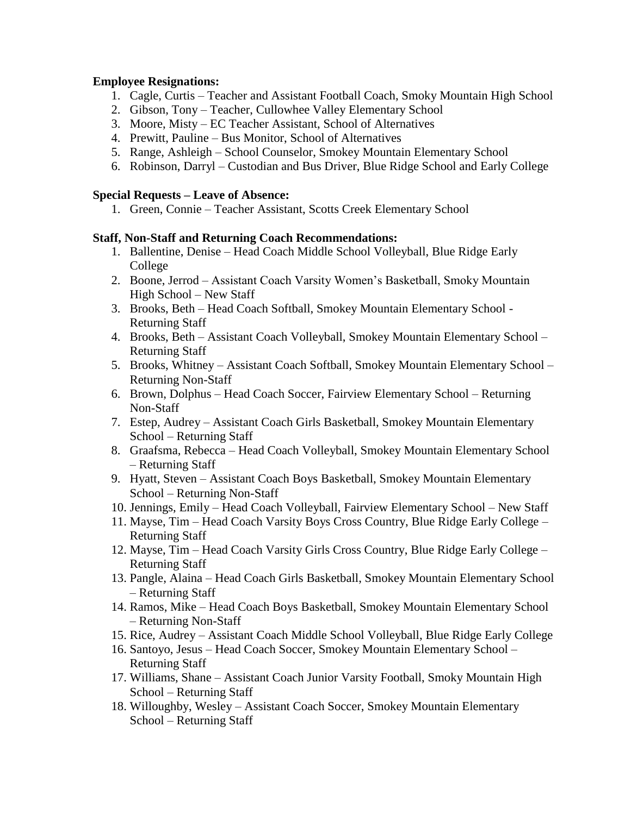#### **Employee Resignations:**

- 1. Cagle, Curtis Teacher and Assistant Football Coach, Smoky Mountain High School
- 2. Gibson, Tony Teacher, Cullowhee Valley Elementary School
- 3. Moore, Misty EC Teacher Assistant, School of Alternatives
- 4. Prewitt, Pauline Bus Monitor, School of Alternatives
- 5. Range, Ashleigh School Counselor, Smokey Mountain Elementary School
- 6. Robinson, Darryl Custodian and Bus Driver, Blue Ridge School and Early College

### **Special Requests – Leave of Absence:**

1. Green, Connie – Teacher Assistant, Scotts Creek Elementary School

#### **Staff, Non-Staff and Returning Coach Recommendations:**

- 1. Ballentine, Denise Head Coach Middle School Volleyball, Blue Ridge Early College
- 2. Boone, Jerrod Assistant Coach Varsity Women's Basketball, Smoky Mountain High School – New Staff
- 3. Brooks, Beth Head Coach Softball, Smokey Mountain Elementary School Returning Staff
- 4. Brooks, Beth Assistant Coach Volleyball, Smokey Mountain Elementary School Returning Staff
- 5. Brooks, Whitney Assistant Coach Softball, Smokey Mountain Elementary School Returning Non-Staff
- 6. Brown, Dolphus Head Coach Soccer, Fairview Elementary School Returning Non-Staff
- 7. Estep, Audrey Assistant Coach Girls Basketball, Smokey Mountain Elementary School – Returning Staff
- 8. Graafsma, Rebecca Head Coach Volleyball, Smokey Mountain Elementary School – Returning Staff
- 9. Hyatt, Steven Assistant Coach Boys Basketball, Smokey Mountain Elementary School – Returning Non-Staff
- 10. Jennings, Emily Head Coach Volleyball, Fairview Elementary School New Staff
- 11. Mayse, Tim Head Coach Varsity Boys Cross Country, Blue Ridge Early College Returning Staff
- 12. Mayse, Tim Head Coach Varsity Girls Cross Country, Blue Ridge Early College Returning Staff
- 13. Pangle, Alaina Head Coach Girls Basketball, Smokey Mountain Elementary School – Returning Staff
- 14. Ramos, Mike Head Coach Boys Basketball, Smokey Mountain Elementary School – Returning Non-Staff
- 15. Rice, Audrey Assistant Coach Middle School Volleyball, Blue Ridge Early College
- 16. Santoyo, Jesus Head Coach Soccer, Smokey Mountain Elementary School Returning Staff
- 17. Williams, Shane Assistant Coach Junior Varsity Football, Smoky Mountain High School – Returning Staff
- 18. Willoughby, Wesley Assistant Coach Soccer, Smokey Mountain Elementary School – Returning Staff